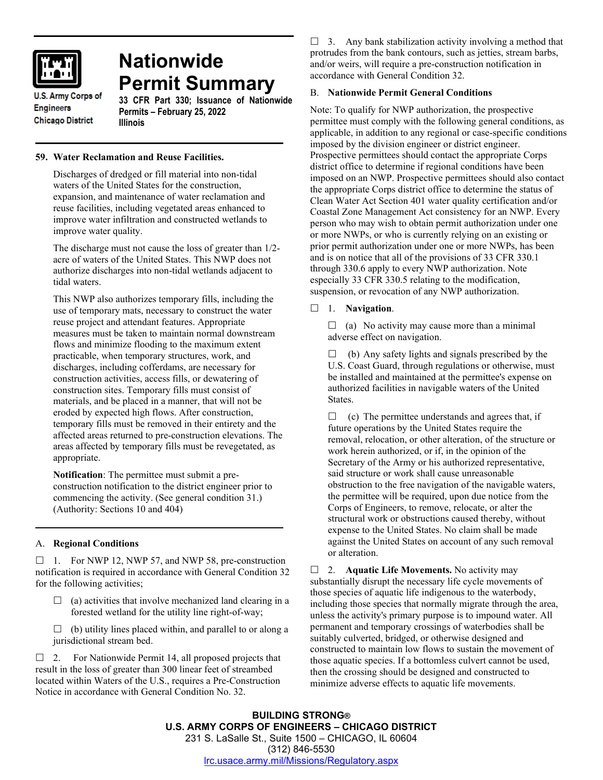

# **Nationwide Permit Summary**

**U.S. Army Corps of Engineers Chicago District** 

**33 CFR Part 330; Issuance of Nationwide Permits – February 25, 2022 Illinois**

### **59. Water Reclamation and Reuse Facilities.**

Discharges of dredged or fill material into non-tidal waters of the United States for the construction, expansion, and maintenance of water reclamation and reuse facilities, including vegetated areas enhanced to improve water infiltration and constructed wetlands to improve water quality.

The discharge must not cause the loss of greater than 1/2 acre of waters of the United States. This NWP does not authorize discharges into non-tidal wetlands adjacent to tidal waters.

This NWP also authorizes temporary fills, including the use of temporary mats, necessary to construct the water reuse project and attendant features. Appropriate measures must be taken to maintain normal downstream flows and minimize flooding to the maximum extent practicable, when temporary structures, work, and discharges, including cofferdams, are necessary for construction activities, access fills, or dewatering of construction sites. Temporary fills must consist of materials, and be placed in a manner, that will not be eroded by expected high flows. After construction, temporary fills must be removed in their entirety and the affected areas returned to pre-construction elevations. The areas affected by temporary fills must be revegetated, as appropriate.

**Notification**: The permittee must submit a preconstruction notification to the district engineer prior to commencing the activity. (See general condition 31.) (Authority: Sections 10 and 404)

### A. **Regional Conditions**

 $\Box$  1. For NWP 12, NWP 57, and NWP 58, pre-construction notification is required in accordance with General Condition 32 for the following activities;

- $\Box$  (a) activities that involve mechanized land clearing in a forested wetland for the utility line right-of-way;
- $\Box$  (b) utility lines placed within, and parallel to or along a jurisdictional stream bed.

 $\Box$  2. For Nationwide Permit 14, all proposed projects that result in the loss of greater than 300 linear feet of streambed located within Waters of the U.S., requires a Pre-Construction Notice in accordance with General Condition No. 32.

 $\Box$  3. Any bank stabilization activity involving a method that protrudes from the bank contours, such as jetties, stream barbs, and/or weirs, will require a pre-construction notification in accordance with General Condition 32.

### B. **Nationwide Permit General Conditions**

Note: To qualify for NWP authorization, the prospective permittee must comply with the following general conditions, as applicable, in addition to any regional or case-specific conditions imposed by the division engineer or district engineer. Prospective permittees should contact the appropriate Corps district office to determine if regional conditions have been imposed on an NWP. Prospective permittees should also contact the appropriate Corps district office to determine the status of Clean Water Act Section 401 water quality certification and/or Coastal Zone Management Act consistency for an NWP. Every person who may wish to obtain permit authorization under one or more NWPs, or who is currently relying on an existing or prior permit authorization under one or more NWPs, has been and is on notice that all of the provisions of 33 CFR 330.1 through 330.6 apply to every NWP authorization. Note especially 33 CFR 330.5 relating to the modification, suspension, or revocation of any NWP authorization.

1. **Navigation**.

 $\Box$  (a) No activity may cause more than a minimal adverse effect on navigation.

 $\Box$  (b) Any safety lights and signals prescribed by the U.S. Coast Guard, through regulations or otherwise, must be installed and maintained at the permittee's expense on authorized facilities in navigable waters of the United States.

 $\Box$  (c) The permittee understands and agrees that, if future operations by the United States require the removal, relocation, or other alteration, of the structure or work herein authorized, or if, in the opinion of the Secretary of the Army or his authorized representative, said structure or work shall cause unreasonable obstruction to the free navigation of the navigable waters, the permittee will be required, upon due notice from the Corps of Engineers, to remove, relocate, or alter the structural work or obstructions caused thereby, without expense to the United States. No claim shall be made against the United States on account of any such removal or alteration.

□ 2. **Aquatic Life Movements.** No activity may substantially disrupt the necessary life cycle movements of those species of aquatic life indigenous to the waterbody, including those species that normally migrate through the area, unless the activity's primary purpose is to impound water. All permanent and temporary crossings of waterbodies shall be suitably culverted, bridged, or otherwise designed and constructed to maintain low flows to sustain the movement of those aquatic species. If a bottomless culvert cannot be used, then the crossing should be designed and constructed to minimize adverse effects to aquatic life movements.

**BUILDING STRONG® U.S. ARMY CORPS OF ENGINEERS – CHICAGO DISTRICT** 231 S. LaSalle St., Suite 1500 – CHICAGO, IL 60604 (312) 846-5530 [lrc.usace.army.mil/Missions/Regulatory.aspx](https://www.lrc.usace.army.mil/Missions/Regulatory.aspx)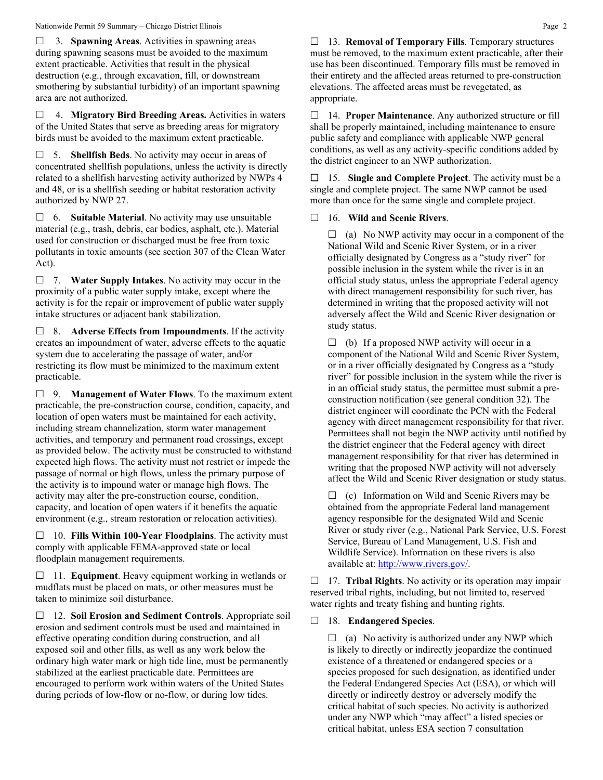3. **Spawning Areas**. Activities in spawning areas during spawning seasons must be avoided to the maximum extent practicable. Activities that result in the physical destruction (e.g., through excavation, fill, or downstream smothering by substantial turbidity) of an important spawning area are not authorized.

 4. **Migratory Bird Breeding Areas.** Activities in waters of the United States that serve as breeding areas for migratory birds must be avoided to the maximum extent practicable.

 5. **Shellfish Beds**. No activity may occur in areas of concentrated shellfish populations, unless the activity is directly related to a shellfish harvesting activity authorized by NWPs 4 and 48, or is a shellfish seeding or habitat restoration activity authorized by NWP 27.

 6. **Suitable Material**. No activity may use unsuitable material (e.g., trash, debris, car bodies, asphalt, etc.). Material used for construction or discharged must be free from toxic pollutants in toxic amounts (see section 307 of the Clean Water Act).

 7. **Water Supply Intakes**. No activity may occur in the proximity of a public water supply intake, except where the activity is for the repair or improvement of public water supply intake structures or adjacent bank stabilization.

 8. **Adverse Effects from Impoundments**. If the activity creates an impoundment of water, adverse effects to the aquatic system due to accelerating the passage of water, and/or restricting its flow must be minimized to the maximum extent practicable.

 9. **Management of Water Flows**. To the maximum extent practicable, the pre-construction course, condition, capacity, and location of open waters must be maintained for each activity, including stream channelization, storm water management activities, and temporary and permanent road crossings, except as provided below. The activity must be constructed to withstand expected high flows. The activity must not restrict or impede the passage of normal or high flows, unless the primary purpose of the activity is to impound water or manage high flows. The activity may alter the pre-construction course, condition, capacity, and location of open waters if it benefits the aquatic environment (e.g., stream restoration or relocation activities).

 10. **Fills Within 100-Year Floodplains**. The activity must comply with applicable FEMA-approved state or local floodplain management requirements.

□ 11. **Equipment**. Heavy equipment working in wetlands or mudflats must be placed on mats, or other measures must be taken to minimize soil disturbance.

 12. **Soil Erosion and Sediment Controls**. Appropriate soil erosion and sediment controls must be used and maintained in effective operating condition during construction, and all exposed soil and other fills, as well as any work below the ordinary high water mark or high tide line, must be permanently stabilized at the earliest practicable date. Permittees are encouraged to perform work within waters of the United States during periods of low-flow or no-flow, or during low tides.

 13. **Removal of Temporary Fills**. Temporary structures must be removed, to the maximum extent practicable, after their use has been discontinued. Temporary fills must be removed in their entirety and the affected areas returned to pre-construction elevations. The affected areas must be revegetated, as appropriate.

 14. **Proper Maintenance**. Any authorized structure or fill shall be properly maintained, including maintenance to ensure public safety and compliance with applicable NWP general conditions, as well as any activity-specific conditions added by the district engineer to an NWP authorization.

 15. **Single and Complete Project**. The activity must be a single and complete project. The same NWP cannot be used more than once for the same single and complete project.

### 16. **Wild and Scenic Rivers**.

 $\Box$  (a) No NWP activity may occur in a component of the National Wild and Scenic River System, or in a river officially designated by Congress as a "study river" for possible inclusion in the system while the river is in an official study status, unless the appropriate Federal agency with direct management responsibility for such river, has determined in writing that the proposed activity will not adversely affect the Wild and Scenic River designation or study status.

 $\Box$  (b) If a proposed NWP activity will occur in a component of the National Wild and Scenic River System, or in a river officially designated by Congress as a "study river" for possible inclusion in the system while the river is in an official study status, the permittee must submit a preconstruction notification (see general condition 32). The district engineer will coordinate the PCN with the Federal agency with direct management responsibility for that river. Permittees shall not begin the NWP activity until notified by the district engineer that the Federal agency with direct management responsibility for that river has determined in writing that the proposed NWP activity will not adversely affect the Wild and Scenic River designation or study status.

 $\Box$  (c) Information on Wild and Scenic Rivers may be obtained from the appropriate Federal land management agency responsible for the designated Wild and Scenic River or study river (e.g., National Park Service, U.S. Forest Service, Bureau of Land Management, U.S. Fish and Wildlife Service). Information on these rivers is also available at: [http://www.rivers.gov/.](http://www.rivers.gov/)

 17. **Tribal Rights**. No activity or its operation may impair reserved tribal rights, including, but not limited to, reserved water rights and treaty fishing and hunting rights.

### 18. **Endangered Species**.

 $\Box$  (a) No activity is authorized under any NWP which is likely to directly or indirectly jeopardize the continued existence of a threatened or endangered species or a species proposed for such designation, as identified under the Federal Endangered Species Act (ESA), or which will directly or indirectly destroy or adversely modify the critical habitat of such species. No activity is authorized under any NWP which "may affect" a listed species or critical habitat, unless ESA section 7 consultation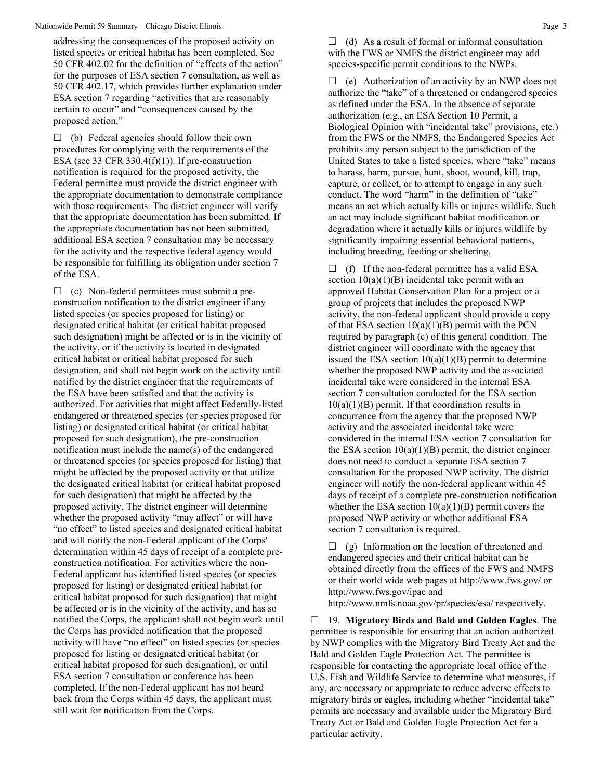### Nationwide Permit 59 Summary – Chicago District Illinois **Page 3** and the state of the state of the state of the state of the state of the state of the state of the state of the state of the state of the state of the state

addressing the consequences of the proposed activity on listed species or critical habitat has been completed. See 50 CFR 402.02 for the definition of "effects of the action" for the purposes of ESA section 7 consultation, as well as 50 CFR 402.17, which provides further explanation under ESA section 7 regarding "activities that are reasonably certain to occur" and "consequences caused by the proposed action."

 $\Box$  (b) Federal agencies should follow their own procedures for complying with the requirements of the ESA (see 33 CFR 330.4 $(f)(1)$ ). If pre-construction notification is required for the proposed activity, the Federal permittee must provide the district engineer with the appropriate documentation to demonstrate compliance with those requirements. The district engineer will verify that the appropriate documentation has been submitted. If the appropriate documentation has not been submitted, additional ESA section 7 consultation may be necessary for the activity and the respective federal agency would be responsible for fulfilling its obligation under section 7 of the ESA.

 $\Box$  (c) Non-federal permittees must submit a preconstruction notification to the district engineer if any listed species (or species proposed for listing) or designated critical habitat (or critical habitat proposed such designation) might be affected or is in the vicinity of the activity, or if the activity is located in designated critical habitat or critical habitat proposed for such designation, and shall not begin work on the activity until notified by the district engineer that the requirements of the ESA have been satisfied and that the activity is authorized. For activities that might affect Federally-listed endangered or threatened species (or species proposed for listing) or designated critical habitat (or critical habitat proposed for such designation), the pre-construction notification must include the name(s) of the endangered or threatened species (or species proposed for listing) that might be affected by the proposed activity or that utilize the designated critical habitat (or critical habitat proposed for such designation) that might be affected by the proposed activity. The district engineer will determine whether the proposed activity "may affect" or will have "no effect" to listed species and designated critical habitat and will notify the non-Federal applicant of the Corps' determination within 45 days of receipt of a complete preconstruction notification. For activities where the non-Federal applicant has identified listed species (or species proposed for listing) or designated critical habitat (or critical habitat proposed for such designation) that might be affected or is in the vicinity of the activity, and has so notified the Corps, the applicant shall not begin work until the Corps has provided notification that the proposed activity will have "no effect" on listed species (or species proposed for listing or designated critical habitat (or critical habitat proposed for such designation), or until ESA section 7 consultation or conference has been completed. If the non-Federal applicant has not heard back from the Corps within 45 days, the applicant must still wait for notification from the Corps.

 $\Box$  (d) As a result of formal or informal consultation with the FWS or NMFS the district engineer may add species-specific permit conditions to the NWPs.

 $\Box$  (e) Authorization of an activity by an NWP does not authorize the "take" of a threatened or endangered species as defined under the ESA. In the absence of separate authorization (e.g., an ESA Section 10 Permit, a Biological Opinion with "incidental take" provisions, etc.) from the FWS or the NMFS, the Endangered Species Act prohibits any person subject to the jurisdiction of the United States to take a listed species, where "take" means to harass, harm, pursue, hunt, shoot, wound, kill, trap, capture, or collect, or to attempt to engage in any such conduct. The word "harm" in the definition of "take" means an act which actually kills or injures wildlife. Such an act may include significant habitat modification or degradation where it actually kills or injures wildlife by significantly impairing essential behavioral patterns, including breeding, feeding or sheltering.

 $\Box$  (f) If the non-federal permittee has a valid ESA section  $10(a)(1)(B)$  incidental take permit with an approved Habitat Conservation Plan for a project or a group of projects that includes the proposed NWP activity, the non-federal applicant should provide a copy of that ESA section  $10(a)(1)(B)$  permit with the PCN required by paragraph (c) of this general condition. The district engineer will coordinate with the agency that issued the ESA section  $10(a)(1)(B)$  permit to determine whether the proposed NWP activity and the associated incidental take were considered in the internal ESA section 7 consultation conducted for the ESA section  $10(a)(1)(B)$  permit. If that coordination results in concurrence from the agency that the proposed NWP activity and the associated incidental take were considered in the internal ESA section 7 consultation for the ESA section  $10(a)(1)(B)$  permit, the district engineer does not need to conduct a separate ESA section 7 consultation for the proposed NWP activity. The district engineer will notify the non-federal applicant within 45 days of receipt of a complete pre-construction notification whether the ESA section  $10(a)(1)(B)$  permit covers the proposed NWP activity or whether additional ESA section 7 consultation is required.

 $\Box$  (g) Information on the location of threatened and endangered species and their critical habitat can be obtained directly from the offices of the FWS and NMFS or their world wide web pages at http://www.fws.gov/ or http://www.fws.gov/ipac and http://www.nmfs.noaa.gov/pr/species/esa/ respectively.

 19. **Migratory Birds and Bald and Golden Eagles**. The permittee is responsible for ensuring that an action authorized by NWP complies with the Migratory Bird Treaty Act and the Bald and Golden Eagle Protection Act. The permittee is responsible for contacting the appropriate local office of the U.S. Fish and Wildlife Service to determine what measures, if any, are necessary or appropriate to reduce adverse effects to migratory birds or eagles, including whether "incidental take" permits are necessary and available under the Migratory Bird Treaty Act or Bald and Golden Eagle Protection Act for a particular activity.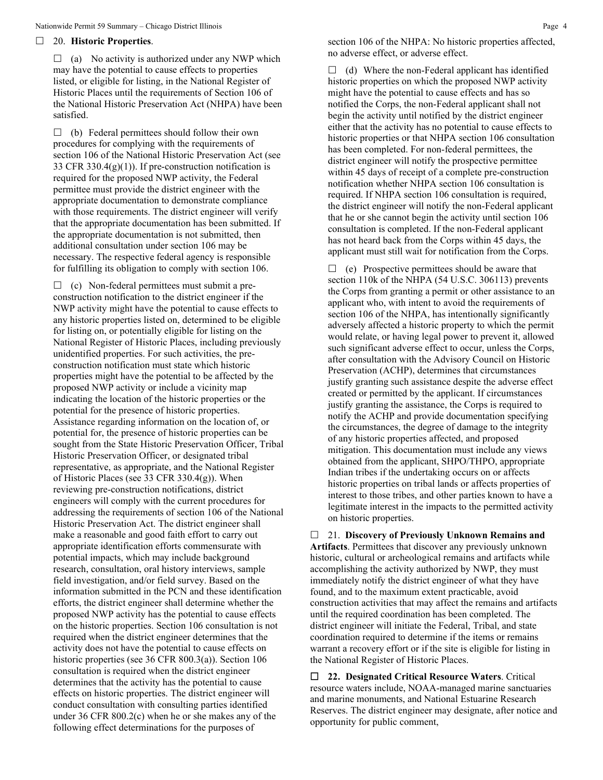### 20. **Historic Properties**.

 $\Box$  (a) No activity is authorized under any NWP which may have the potential to cause effects to properties listed, or eligible for listing, in the National Register of Historic Places until the requirements of Section 106 of the National Historic Preservation Act (NHPA) have been satisfied.

 $\Box$  (b) Federal permittees should follow their own procedures for complying with the requirements of section 106 of the National Historic Preservation Act (see 33 CFR 330.4(g)(1)). If pre-construction notification is required for the proposed NWP activity, the Federal permittee must provide the district engineer with the appropriate documentation to demonstrate compliance with those requirements. The district engineer will verify that the appropriate documentation has been submitted. If the appropriate documentation is not submitted, then additional consultation under section 106 may be necessary. The respective federal agency is responsible for fulfilling its obligation to comply with section 106.

 $\Box$  (c) Non-federal permittees must submit a preconstruction notification to the district engineer if the NWP activity might have the potential to cause effects to any historic properties listed on, determined to be eligible for listing on, or potentially eligible for listing on the National Register of Historic Places, including previously unidentified properties. For such activities, the preconstruction notification must state which historic properties might have the potential to be affected by the proposed NWP activity or include a vicinity map indicating the location of the historic properties or the potential for the presence of historic properties. Assistance regarding information on the location of, or potential for, the presence of historic properties can be sought from the State Historic Preservation Officer, Tribal Historic Preservation Officer, or designated tribal representative, as appropriate, and the National Register of Historic Places (see 33 CFR 330.4(g)). When reviewing pre-construction notifications, district engineers will comply with the current procedures for addressing the requirements of section 106 of the National Historic Preservation Act. The district engineer shall make a reasonable and good faith effort to carry out appropriate identification efforts commensurate with potential impacts, which may include background research, consultation, oral history interviews, sample field investigation, and/or field survey. Based on the information submitted in the PCN and these identification efforts, the district engineer shall determine whether the proposed NWP activity has the potential to cause effects on the historic properties. Section 106 consultation is not required when the district engineer determines that the activity does not have the potential to cause effects on historic properties (see 36 CFR 800.3(a)). Section 106 consultation is required when the district engineer determines that the activity has the potential to cause effects on historic properties. The district engineer will conduct consultation with consulting parties identified under 36 CFR 800.2(c) when he or she makes any of the following effect determinations for the purposes of

section 106 of the NHPA: No historic properties affected, no adverse effect, or adverse effect.

 $\Box$  (d) Where the non-Federal applicant has identified historic properties on which the proposed NWP activity might have the potential to cause effects and has so notified the Corps, the non-Federal applicant shall not begin the activity until notified by the district engineer either that the activity has no potential to cause effects to historic properties or that NHPA section 106 consultation has been completed. For non-federal permittees, the district engineer will notify the prospective permittee within 45 days of receipt of a complete pre-construction notification whether NHPA section 106 consultation is required. If NHPA section 106 consultation is required, the district engineer will notify the non-Federal applicant that he or she cannot begin the activity until section 106 consultation is completed. If the non-Federal applicant has not heard back from the Corps within 45 days, the applicant must still wait for notification from the Corps.

 $\Box$  (e) Prospective permittees should be aware that section 110k of the NHPA (54 U.S.C. 306113) prevents the Corps from granting a permit or other assistance to an applicant who, with intent to avoid the requirements of section 106 of the NHPA, has intentionally significantly adversely affected a historic property to which the permit would relate, or having legal power to prevent it, allowed such significant adverse effect to occur, unless the Corps, after consultation with the Advisory Council on Historic Preservation (ACHP), determines that circumstances justify granting such assistance despite the adverse effect created or permitted by the applicant. If circumstances justify granting the assistance, the Corps is required to notify the ACHP and provide documentation specifying the circumstances, the degree of damage to the integrity of any historic properties affected, and proposed mitigation. This documentation must include any views obtained from the applicant, SHPO/THPO, appropriate Indian tribes if the undertaking occurs on or affects historic properties on tribal lands or affects properties of interest to those tribes, and other parties known to have a legitimate interest in the impacts to the permitted activity on historic properties.

 21. **Discovery of Previously Unknown Remains and Artifacts**. Permittees that discover any previously unknown historic, cultural or archeological remains and artifacts while accomplishing the activity authorized by NWP, they must immediately notify the district engineer of what they have found, and to the maximum extent practicable, avoid construction activities that may affect the remains and artifacts until the required coordination has been completed. The district engineer will initiate the Federal, Tribal, and state coordination required to determine if the items or remains warrant a recovery effort or if the site is eligible for listing in the National Register of Historic Places.

 **22. Designated Critical Resource Waters**. Critical resource waters include, NOAA-managed marine sanctuaries and marine monuments, and National Estuarine Research Reserves. The district engineer may designate, after notice and opportunity for public comment,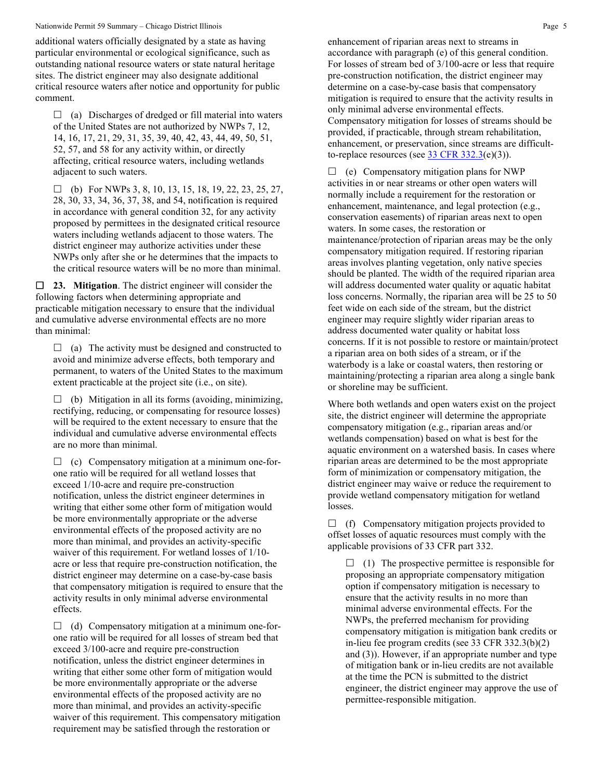additional waters officially designated by a state as having particular environmental or ecological significance, such as outstanding national resource waters or state natural heritage sites. The district engineer may also designate additional critical resource waters after notice and opportunity for public comment.

 $\Box$  (a) Discharges of dredged or fill material into waters of the United States are not authorized by NWPs 7, 12, 14, 16, 17, 21, 29, 31, 35, 39, 40, 42, 43, 44, 49, 50, 51, 52, 57, and 58 for any activity within, or directly affecting, critical resource waters, including wetlands adjacent to such waters.

 $\Box$  (b) For NWPs 3, 8, 10, 13, 15, 18, 19, 22, 23, 25, 27, 28, 30, 33, 34, 36, 37, 38, and 54, notification is required in accordance with general condition 32, for any activity proposed by permittees in the designated critical resource waters including wetlands adjacent to those waters. The district engineer may authorize activities under these NWPs only after she or he determines that the impacts to the critical resource waters will be no more than minimal.

 **23. Mitigation**. The district engineer will consider the following factors when determining appropriate and practicable mitigation necessary to ensure that the individual and cumulative adverse environmental effects are no more than minimal:

 $\Box$  (a) The activity must be designed and constructed to avoid and minimize adverse effects, both temporary and permanent, to waters of the United States to the maximum extent practicable at the project site (i.e., on site).

 $\Box$  (b) Mitigation in all its forms (avoiding, minimizing, rectifying, reducing, or compensating for resource losses) will be required to the extent necessary to ensure that the individual and cumulative adverse environmental effects are no more than minimal.

 $\Box$  (c) Compensatory mitigation at a minimum one-forone ratio will be required for all wetland losses that exceed 1/10-acre and require pre-construction notification, unless the district engineer determines in writing that either some other form of mitigation would be more environmentally appropriate or the adverse environmental effects of the proposed activity are no more than minimal, and provides an activity-specific waiver of this requirement. For wetland losses of 1/10 acre or less that require pre-construction notification, the district engineer may determine on a case-by-case basis that compensatory mitigation is required to ensure that the activity results in only minimal adverse environmental effects.

 $\Box$  (d) Compensatory mitigation at a minimum one-forone ratio will be required for all losses of stream bed that exceed 3/100-acre and require pre-construction notification, unless the district engineer determines in writing that either some other form of mitigation would be more environmentally appropriate or the adverse environmental effects of the proposed activity are no more than minimal, and provides an activity-specific waiver of this requirement. This compensatory mitigation requirement may be satisfied through the restoration or

enhancement of riparian areas next to streams in accordance with paragraph (e) of this general condition. For losses of stream bed of 3/100-acre or less that require pre-construction notification, the district engineer may determine on a case-by-case basis that compensatory mitigation is required to ensure that the activity results in only minimal adverse environmental effects. Compensatory mitigation for losses of streams should be provided, if practicable, through stream rehabilitation, enhancement, or preservation, since streams are difficultto-replace resources (see  $33$  CFR  $332.3(e)(3)$ ).

 $\Box$  (e) Compensatory mitigation plans for NWP activities in or near streams or other open waters will normally include a requirement for the restoration or enhancement, maintenance, and legal protection (e.g., conservation easements) of riparian areas next to open waters. In some cases, the restoration or maintenance/protection of riparian areas may be the only compensatory mitigation required. If restoring riparian areas involves planting vegetation, only native species should be planted. The width of the required riparian area will address documented water quality or aquatic habitat loss concerns. Normally, the riparian area will be 25 to 50 feet wide on each side of the stream, but the district engineer may require slightly wider riparian areas to address documented water quality or habitat loss concerns. If it is not possible to restore or maintain/protect a riparian area on both sides of a stream, or if the waterbody is a lake or coastal waters, then restoring or maintaining/protecting a riparian area along a single bank or shoreline may be sufficient.

Where both wetlands and open waters exist on the project site, the district engineer will determine the appropriate compensatory mitigation (e.g., riparian areas and/or wetlands compensation) based on what is best for the aquatic environment on a watershed basis. In cases where riparian areas are determined to be the most appropriate form of minimization or compensatory mitigation, the district engineer may waive or reduce the requirement to provide wetland compensatory mitigation for wetland losses.

 $\Box$  (f) Compensatory mitigation projects provided to offset losses of aquatic resources must comply with the applicable provisions of 33 CFR part 332.

 $\Box$  (1) The prospective permittee is responsible for proposing an appropriate compensatory mitigation option if compensatory mitigation is necessary to ensure that the activity results in no more than minimal adverse environmental effects. For the NWPs, the preferred mechanism for providing compensatory mitigation is mitigation bank credits or in-lieu fee program credits (see 33 CFR 332.3(b)(2) and (3)). However, if an appropriate number and type of mitigation bank or in-lieu credits are not available at the time the PCN is submitted to the district engineer, the district engineer may approve the use of permittee-responsible mitigation.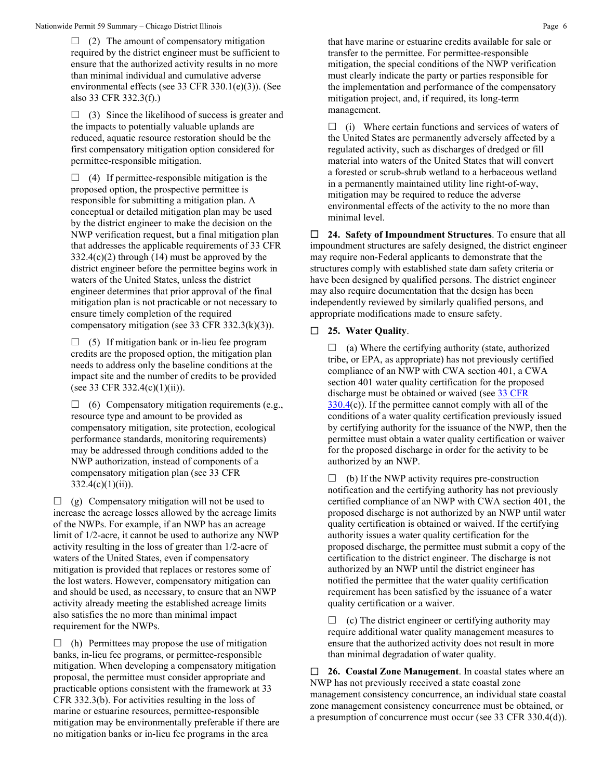$\Box$  (2) The amount of compensatory mitigation required by the district engineer must be sufficient to ensure that the authorized activity results in no more than minimal individual and cumulative adverse environmental effects (see 33 CFR 330.1(e)(3)). (See also 33 CFR 332.3(f).)

 $\Box$  (3) Since the likelihood of success is greater and the impacts to potentially valuable uplands are reduced, aquatic resource restoration should be the first compensatory mitigation option considered for permittee-responsible mitigation.

 $\Box$  (4) If permittee-responsible mitigation is the proposed option, the prospective permittee is responsible for submitting a mitigation plan. A conceptual or detailed mitigation plan may be used by the district engineer to make the decision on the NWP verification request, but a final mitigation plan that addresses the applicable requirements of 33 CFR  $332.4(c)(2)$  through (14) must be approved by the district engineer before the permittee begins work in waters of the United States, unless the district engineer determines that prior approval of the final mitigation plan is not practicable or not necessary to ensure timely completion of the required compensatory mitigation (see 33 CFR 332.3(k)(3)).

 $\Box$  (5) If mitigation bank or in-lieu fee program credits are the proposed option, the mitigation plan needs to address only the baseline conditions at the impact site and the number of credits to be provided (see 33 CFR 332.4(c)(1)(ii)).

 $\Box$  (6) Compensatory mitigation requirements (e.g., resource type and amount to be provided as compensatory mitigation, site protection, ecological performance standards, monitoring requirements) may be addressed through conditions added to the NWP authorization, instead of components of a compensatory mitigation plan (see 33 CFR  $332.4(c)(1)(ii)$ ).

 $\Box$  (g) Compensatory mitigation will not be used to increase the acreage losses allowed by the acreage limits of the NWPs. For example, if an NWP has an acreage limit of 1/2-acre, it cannot be used to authorize any NWP activity resulting in the loss of greater than 1/2-acre of waters of the United States, even if compensatory mitigation is provided that replaces or restores some of the lost waters. However, compensatory mitigation can and should be used, as necessary, to ensure that an NWP activity already meeting the established acreage limits also satisfies the no more than minimal impact requirement for the NWPs.

 $\Box$  (h) Permittees may propose the use of mitigation banks, in-lieu fee programs, or permittee-responsible mitigation. When developing a compensatory mitigation proposal, the permittee must consider appropriate and practicable options consistent with the framework at 33 CFR 332.3(b). For activities resulting in the loss of marine or estuarine resources, permittee-responsible mitigation may be environmentally preferable if there are no mitigation banks or in-lieu fee programs in the area

that have marine or estuarine credits available for sale or transfer to the permittee. For permittee-responsible mitigation, the special conditions of the NWP verification must clearly indicate the party or parties responsible for the implementation and performance of the compensatory mitigation project, and, if required, its long-term management.

 $\Box$  (i) Where certain functions and services of waters of the United States are permanently adversely affected by a regulated activity, such as discharges of dredged or fill material into waters of the United States that will convert a forested or scrub-shrub wetland to a herbaceous wetland in a permanently maintained utility line right-of-way, mitigation may be required to reduce the adverse environmental effects of the activity to the no more than minimal level.

 **24. Safety of Impoundment Structures**. To ensure that all impoundment structures are safely designed, the district engineer may require non-Federal applicants to demonstrate that the structures comply with established state dam safety criteria or have been designed by qualified persons. The district engineer may also require documentation that the design has been independently reviewed by similarly qualified persons, and appropriate modifications made to ensure safety.

### **25. Water Quality**.

 $\Box$  (a) Where the certifying authority (state, authorized tribe, or EPA, as appropriate) has not previously certified compliance of an NWP with CWA section 401, a CWA section 401 water quality certification for the proposed discharge must be obtained or waived (see [33 CFR](https://www.federalregister.gov/select-citation/2021/01/13/33-CFR-330.4)   $330.4(c)$  $330.4(c)$ ). If the permittee cannot comply with all of the conditions of a water quality certification previously issued by certifying authority for the issuance of the NWP, then the permittee must obtain a water quality certification or waiver for the proposed discharge in order for the activity to be authorized by an NWP.

 $\Box$  (b) If the NWP activity requires pre-construction notification and the certifying authority has not previously certified compliance of an NWP with CWA section 401, the proposed discharge is not authorized by an NWP until water quality certification is obtained or waived. If the certifying authority issues a water quality certification for the proposed discharge, the permittee must submit a copy of the certification to the district engineer. The discharge is not authorized by an NWP until the district engineer has notified the permittee that the water quality certification requirement has been satisfied by the issuance of a water quality certification or a waiver.

 $\Box$  (c) The district engineer or certifying authority may require additional water quality management measures to ensure that the authorized activity does not result in more than minimal degradation of water quality.

 **26. Coastal Zone Management**. In coastal states where an NWP has not previously received a state coastal zone management consistency concurrence, an individual state coastal zone management consistency concurrence must be obtained, or a presumption of concurrence must occur (see 33 CFR 330.4(d)).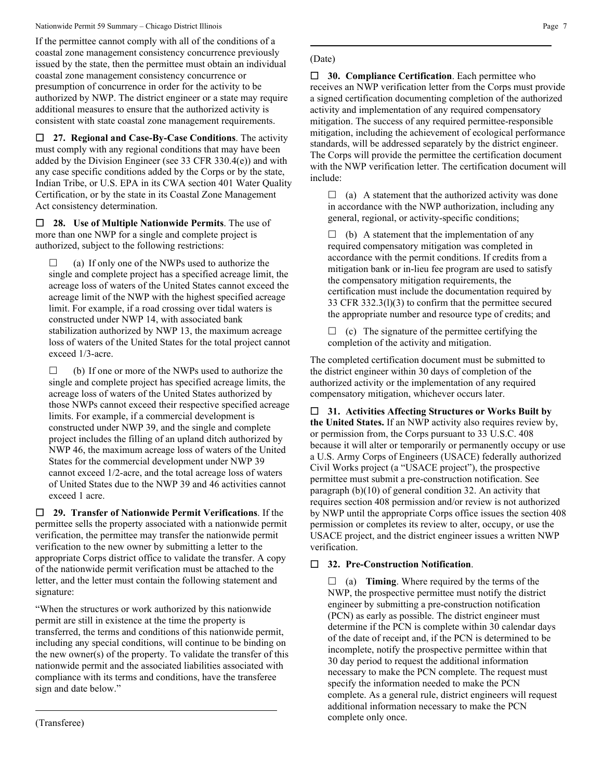If the permittee cannot comply with all of the conditions of a coastal zone management consistency concurrence previously issued by the state, then the permittee must obtain an individual coastal zone management consistency concurrence or presumption of concurrence in order for the activity to be authorized by NWP. The district engineer or a state may require additional measures to ensure that the authorized activity is consistent with state coastal zone management requirements.

 **27. Regional and Case-By-Case Conditions**. The activity must comply with any regional conditions that may have been added by the Division Engineer (see 33 CFR 330.4(e)) and with any case specific conditions added by the Corps or by the state, Indian Tribe, or U.S. EPA in its CWA section 401 Water Quality Certification, or by the state in its Coastal Zone Management Act consistency determination.

 **28. Use of Multiple Nationwide Permits**. The use of more than one NWP for a single and complete project is authorized, subject to the following restrictions:

 (a) If only one of the NWPs used to authorize the single and complete project has a specified acreage limit, the acreage loss of waters of the United States cannot exceed the acreage limit of the NWP with the highest specified acreage limit. For example, if a road crossing over tidal waters is constructed under NWP 14, with associated bank stabilization authorized by NWP 13, the maximum acreage loss of waters of the United States for the total project cannot exceed 1/3-acre.

 $\Box$  (b) If one or more of the NWPs used to authorize the single and complete project has specified acreage limits, the acreage loss of waters of the United States authorized by those NWPs cannot exceed their respective specified acreage limits. For example, if a commercial development is constructed under NWP 39, and the single and complete project includes the filling of an upland ditch authorized by NWP 46, the maximum acreage loss of waters of the United States for the commercial development under NWP 39 cannot exceed 1/2-acre, and the total acreage loss of waters of United States due to the NWP 39 and 46 activities cannot exceed 1 acre.

 **29. Transfer of Nationwide Permit Verifications**. If the permittee sells the property associated with a nationwide permit verification, the permittee may transfer the nationwide permit verification to the new owner by submitting a letter to the appropriate Corps district office to validate the transfer. A copy of the nationwide permit verification must be attached to the letter, and the letter must contain the following statement and signature:

"When the structures or work authorized by this nationwide permit are still in existence at the time the property is transferred, the terms and conditions of this nationwide permit, including any special conditions, will continue to be binding on the new owner(s) of the property. To validate the transfer of this nationwide permit and the associated liabilities associated with compliance with its terms and conditions, have the transferee sign and date below."

## (Date)

 **30. Compliance Certification**. Each permittee who receives an NWP verification letter from the Corps must provide a signed certification documenting completion of the authorized activity and implementation of any required compensatory mitigation. The success of any required permittee-responsible mitigation, including the achievement of ecological performance standards, will be addressed separately by the district engineer. The Corps will provide the permittee the certification document with the NWP verification letter. The certification document will include:

 $\Box$  (a) A statement that the authorized activity was done in accordance with the NWP authorization, including any general, regional, or activity-specific conditions;

 $\Box$  (b) A statement that the implementation of any required compensatory mitigation was completed in accordance with the permit conditions. If credits from a mitigation bank or in-lieu fee program are used to satisfy the compensatory mitigation requirements, the certification must include the documentation required by 33 CFR 332.3(l)(3) to confirm that the permittee secured the appropriate number and resource type of credits; and

 $\Box$  (c) The signature of the permittee certifying the completion of the activity and mitigation.

The completed certification document must be submitted to the district engineer within 30 days of completion of the authorized activity or the implementation of any required compensatory mitigation, whichever occurs later.

 **31. Activities Affecting Structures or Works Built by the United States.** If an NWP activity also requires review by, or permission from, the Corps pursuant to 33 U.S.C. 408 because it will alter or temporarily or permanently occupy or use a U.S. Army Corps of Engineers (USACE) federally authorized Civil Works project (a "USACE project"), the prospective permittee must submit a pre-construction notification. See paragraph (b)(10) of general condition 32. An activity that requires section 408 permission and/or review is not authorized by NWP until the appropriate Corps office issues the section 408 permission or completes its review to alter, occupy, or use the USACE project, and the district engineer issues a written NWP verification.

# **32. Pre-Construction Notification**.

 $\Box$  (a) **Timing**. Where required by the terms of the NWP, the prospective permittee must notify the district engineer by submitting a pre-construction notification (PCN) as early as possible. The district engineer must determine if the PCN is complete within 30 calendar days of the date of receipt and, if the PCN is determined to be incomplete, notify the prospective permittee within that 30 day period to request the additional information necessary to make the PCN complete. The request must specify the information needed to make the PCN complete. As a general rule, district engineers will request additional information necessary to make the PCN complete only once.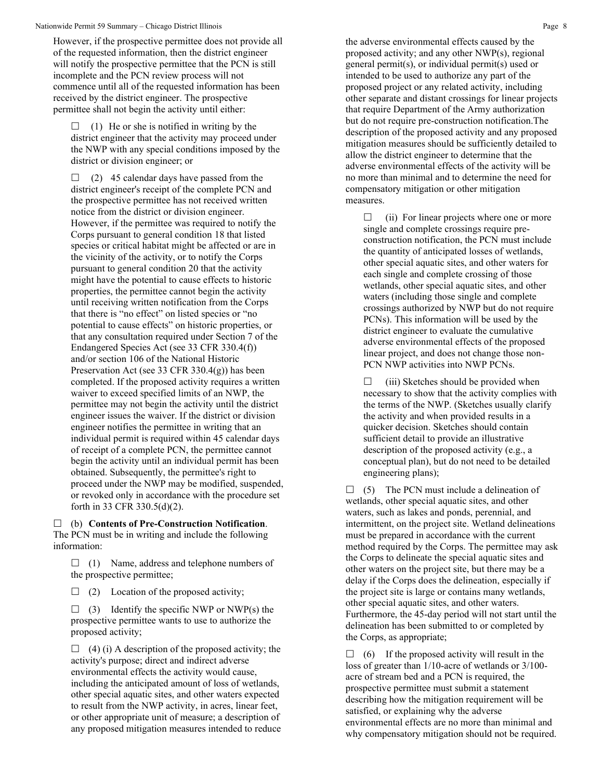However, if the prospective permittee does not provide all of the requested information, then the district engineer will notify the prospective permittee that the PCN is still incomplete and the PCN review process will not commence until all of the requested information has been received by the district engineer. The prospective permittee shall not begin the activity until either:

 $\Box$  (1) He or she is notified in writing by the district engineer that the activity may proceed under the NWP with any special conditions imposed by the district or division engineer; or

 $\Box$  (2) 45 calendar days have passed from the district engineer's receipt of the complete PCN and the prospective permittee has not received written notice from the district or division engineer. However, if the permittee was required to notify the Corps pursuant to general condition 18 that listed species or critical habitat might be affected or are in the vicinity of the activity, or to notify the Corps pursuant to general condition 20 that the activity might have the potential to cause effects to historic properties, the permittee cannot begin the activity until receiving written notification from the Corps that there is "no effect" on listed species or "no potential to cause effects" on historic properties, or that any consultation required under Section 7 of the Endangered Species Act (see 33 CFR 330.4(f)) and/or section 106 of the National Historic Preservation Act (see 33 CFR 330.4(g)) has been completed. If the proposed activity requires a written waiver to exceed specified limits of an NWP, the permittee may not begin the activity until the district engineer issues the waiver. If the district or division engineer notifies the permittee in writing that an individual permit is required within 45 calendar days of receipt of a complete PCN, the permittee cannot begin the activity until an individual permit has been obtained. Subsequently, the permittee's right to proceed under the NWP may be modified, suspended, or revoked only in accordance with the procedure set forth in 33 CFR 330.5(d)(2).

 (b) **Contents of Pre-Construction Notification**. The PCN must be in writing and include the following information:

 $\Box$  (1) Name, address and telephone numbers of the prospective permittee;

 $\Box$  (2) Location of the proposed activity;

 $\Box$  (3) Identify the specific NWP or NWP(s) the prospective permittee wants to use to authorize the proposed activity;

 $\Box$  (4) (i) A description of the proposed activity; the activity's purpose; direct and indirect adverse environmental effects the activity would cause, including the anticipated amount of loss of wetlands, other special aquatic sites, and other waters expected to result from the NWP activity, in acres, linear feet, or other appropriate unit of measure; a description of any proposed mitigation measures intended to reduce

the adverse environmental effects caused by the proposed activity; and any other NWP(s), regional general permit(s), or individual permit(s) used or intended to be used to authorize any part of the proposed project or any related activity, including other separate and distant crossings for linear projects that require Department of the Army authorization but do not require pre-construction notification.The description of the proposed activity and any proposed mitigation measures should be sufficiently detailed to allow the district engineer to determine that the adverse environmental effects of the activity will be no more than minimal and to determine the need for compensatory mitigation or other mitigation measures.

 $\Box$  (ii) For linear projects where one or more single and complete crossings require preconstruction notification, the PCN must include the quantity of anticipated losses of wetlands, other special aquatic sites, and other waters for each single and complete crossing of those wetlands, other special aquatic sites, and other waters (including those single and complete crossings authorized by NWP but do not require PCNs). This information will be used by the district engineer to evaluate the cumulative adverse environmental effects of the proposed linear project, and does not change those non-PCN NWP activities into NWP PCNs.

 $\Box$  (iii) Sketches should be provided when necessary to show that the activity complies with the terms of the NWP. (Sketches usually clarify the activity and when provided results in a quicker decision. Sketches should contain sufficient detail to provide an illustrative description of the proposed activity (e.g., a conceptual plan), but do not need to be detailed engineering plans);

 $\Box$  (5) The PCN must include a delineation of wetlands, other special aquatic sites, and other waters, such as lakes and ponds, perennial, and intermittent, on the project site. Wetland delineations must be prepared in accordance with the current method required by the Corps. The permittee may ask the Corps to delineate the special aquatic sites and other waters on the project site, but there may be a delay if the Corps does the delineation, especially if the project site is large or contains many wetlands, other special aquatic sites, and other waters. Furthermore, the 45-day period will not start until the delineation has been submitted to or completed by the Corps, as appropriate;

 $\Box$  (6) If the proposed activity will result in the loss of greater than 1/10-acre of wetlands or 3/100 acre of stream bed and a PCN is required, the prospective permittee must submit a statement describing how the mitigation requirement will be satisfied, or explaining why the adverse environmental effects are no more than minimal and why compensatory mitigation should not be required.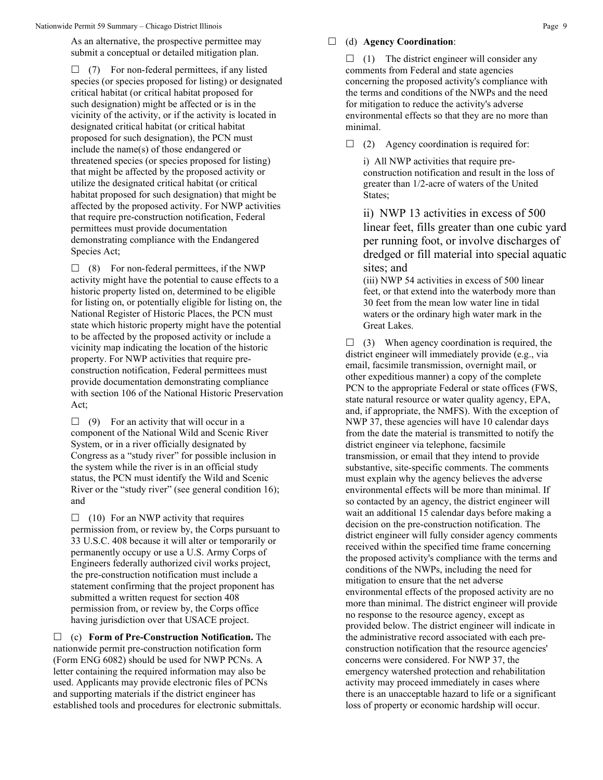As an alternative, the prospective permittee may submit a conceptual or detailed mitigation plan.

 $\Box$  (7) For non-federal permittees, if any listed species (or species proposed for listing) or designated critical habitat (or critical habitat proposed for such designation) might be affected or is in the vicinity of the activity, or if the activity is located in designated critical habitat (or critical habitat proposed for such designation), the PCN must include the name(s) of those endangered or threatened species (or species proposed for listing) that might be affected by the proposed activity or utilize the designated critical habitat (or critical habitat proposed for such designation) that might be affected by the proposed activity. For NWP activities that require pre-construction notification, Federal permittees must provide documentation demonstrating compliance with the Endangered Species Act;

 $\Box$  (8) For non-federal permittees, if the NWP activity might have the potential to cause effects to a historic property listed on, determined to be eligible for listing on, or potentially eligible for listing on, the National Register of Historic Places, the PCN must state which historic property might have the potential to be affected by the proposed activity or include a vicinity map indicating the location of the historic property. For NWP activities that require preconstruction notification, Federal permittees must provide documentation demonstrating compliance with section 106 of the National Historic Preservation Act;

 $\Box$  (9) For an activity that will occur in a component of the National Wild and Scenic River System, or in a river officially designated by Congress as a "study river" for possible inclusion in the system while the river is in an official study status, the PCN must identify the Wild and Scenic River or the "study river" (see general condition 16); and

 $\Box$  (10) For an NWP activity that requires permission from, or review by, the Corps pursuant to 33 U.S.C. 408 because it will alter or temporarily or permanently occupy or use a U.S. Army Corps of Engineers federally authorized civil works project, the pre-construction notification must include a statement confirming that the project proponent has submitted a written request for section 408 permission from, or review by, the Corps office having jurisdiction over that USACE project.

 (c) **Form of Pre-Construction Notification.** The nationwide permit pre-construction notification form (Form ENG 6082) should be used for NWP PCNs. A letter containing the required information may also be used. Applicants may provide electronic files of PCNs and supporting materials if the district engineer has established tools and procedures for electronic submittals.

### (d) **Agency Coordination**:

 $\Box$  (1) The district engineer will consider any comments from Federal and state agencies concerning the proposed activity's compliance with the terms and conditions of the NWPs and the need for mitigation to reduce the activity's adverse environmental effects so that they are no more than minimal.

 $\Box$  (2) Agency coordination is required for:

i) All NWP activities that require preconstruction notification and result in the loss of greater than 1/2-acre of waters of the United States;

ii) NWP 13 activities in excess of 500 linear feet, fills greater than one cubic yard per running foot, or involve discharges of dredged or fill material into special aquatic sites; and

(iii) NWP 54 activities in excess of 500 linear feet, or that extend into the waterbody more than 30 feet from the mean low water line in tidal waters or the ordinary high water mark in the Great Lakes.

 $\Box$  (3) When agency coordination is required, the district engineer will immediately provide (e.g., via email, facsimile transmission, overnight mail, or other expeditious manner) a copy of the complete PCN to the appropriate Federal or state offices (FWS, state natural resource or water quality agency, EPA, and, if appropriate, the NMFS). With the exception of NWP 37, these agencies will have 10 calendar days from the date the material is transmitted to notify the district engineer via telephone, facsimile transmission, or email that they intend to provide substantive, site-specific comments. The comments must explain why the agency believes the adverse environmental effects will be more than minimal. If so contacted by an agency, the district engineer will wait an additional 15 calendar days before making a decision on the pre-construction notification. The district engineer will fully consider agency comments received within the specified time frame concerning the proposed activity's compliance with the terms and conditions of the NWPs, including the need for mitigation to ensure that the net adverse environmental effects of the proposed activity are no more than minimal. The district engineer will provide no response to the resource agency, except as provided below. The district engineer will indicate in the administrative record associated with each preconstruction notification that the resource agencies' concerns were considered. For NWP 37, the emergency watershed protection and rehabilitation activity may proceed immediately in cases where there is an unacceptable hazard to life or a significant loss of property or economic hardship will occur.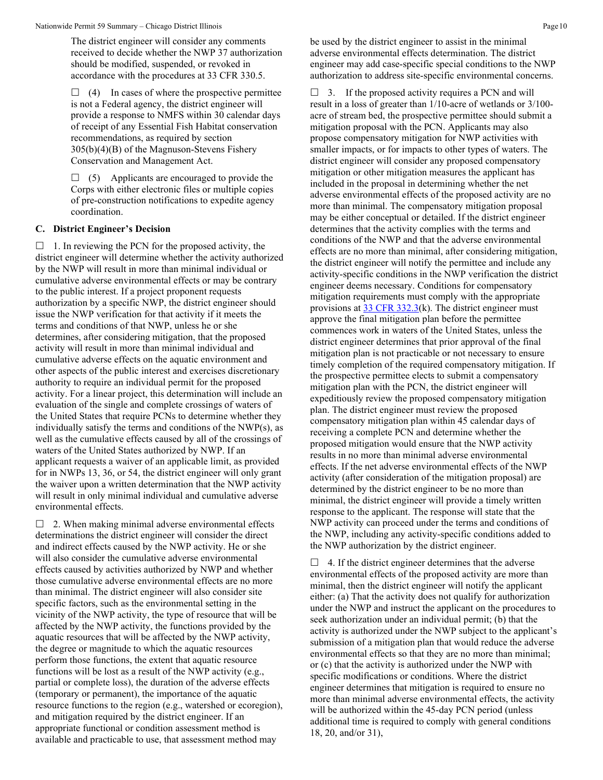The district engineer will consider any comments received to decide whether the NWP 37 authorization should be modified, suspended, or revoked in accordance with the procedures at 33 CFR 330.5.

 $\Box$  (4) In cases of where the prospective permittee is not a Federal agency, the district engineer will provide a response to NMFS within 30 calendar days of receipt of any Essential Fish Habitat conservation recommendations, as required by section 305(b)(4)(B) of the Magnuson-Stevens Fishery Conservation and Management Act.

 $\Box$  (5) Applicants are encouraged to provide the Corps with either electronic files or multiple copies of pre-construction notifications to expedite agency coordination.

### **C. District Engineer's Decision**

 $\Box$  1. In reviewing the PCN for the proposed activity, the district engineer will determine whether the activity authorized by the NWP will result in more than minimal individual or cumulative adverse environmental effects or may be contrary to the public interest. If a project proponent requests authorization by a specific NWP, the district engineer should issue the NWP verification for that activity if it meets the terms and conditions of that NWP, unless he or she determines, after considering mitigation, that the proposed activity will result in more than minimal individual and cumulative adverse effects on the aquatic environment and other aspects of the public interest and exercises discretionary authority to require an individual permit for the proposed activity. For a linear project, this determination will include an evaluation of the single and complete crossings of waters of the United States that require PCNs to determine whether they individually satisfy the terms and conditions of the NWP(s), as well as the cumulative effects caused by all of the crossings of waters of the United States authorized by NWP. If an applicant requests a waiver of an applicable limit, as provided for in NWPs 13, 36, or 54, the district engineer will only grant the waiver upon a written determination that the NWP activity will result in only minimal individual and cumulative adverse environmental effects.

 $\Box$  2. When making minimal adverse environmental effects determinations the district engineer will consider the direct and indirect effects caused by the NWP activity. He or she will also consider the cumulative adverse environmental effects caused by activities authorized by NWP and whether those cumulative adverse environmental effects are no more than minimal. The district engineer will also consider site specific factors, such as the environmental setting in the vicinity of the NWP activity, the type of resource that will be affected by the NWP activity, the functions provided by the aquatic resources that will be affected by the NWP activity, the degree or magnitude to which the aquatic resources perform those functions, the extent that aquatic resource functions will be lost as a result of the NWP activity (e.g., partial or complete loss), the duration of the adverse effects (temporary or permanent), the importance of the aquatic resource functions to the region (e.g., watershed or ecoregion), and mitigation required by the district engineer. If an appropriate functional or condition assessment method is available and practicable to use, that assessment method may

be used by the district engineer to assist in the minimal adverse environmental effects determination. The district engineer may add case-specific special conditions to the NWP authorization to address site-specific environmental concerns.

 $\Box$  3. If the proposed activity requires a PCN and will result in a loss of greater than 1/10-acre of wetlands or 3/100 acre of stream bed, the prospective permittee should submit a mitigation proposal with the PCN. Applicants may also propose compensatory mitigation for NWP activities with smaller impacts, or for impacts to other types of waters. The district engineer will consider any proposed compensatory mitigation or other mitigation measures the applicant has included in the proposal in determining whether the net adverse environmental effects of the proposed activity are no more than minimal. The compensatory mitigation proposal may be either conceptual or detailed. If the district engineer determines that the activity complies with the terms and conditions of the NWP and that the adverse environmental effects are no more than minimal, after considering mitigation, the district engineer will notify the permittee and include any activity-specific conditions in the NWP verification the district engineer deems necessary. Conditions for compensatory mitigation requirements must comply with the appropriate provisions at  $33$  CFR  $332.3(k)$ . The district engineer must approve the final mitigation plan before the permittee commences work in waters of the United States, unless the district engineer determines that prior approval of the final mitigation plan is not practicable or not necessary to ensure timely completion of the required compensatory mitigation. If the prospective permittee elects to submit a compensatory mitigation plan with the PCN, the district engineer will expeditiously review the proposed compensatory mitigation plan. The district engineer must review the proposed compensatory mitigation plan within 45 calendar days of receiving a complete PCN and determine whether the proposed mitigation would ensure that the NWP activity results in no more than minimal adverse environmental effects. If the net adverse environmental effects of the NWP activity (after consideration of the mitigation proposal) are determined by the district engineer to be no more than minimal, the district engineer will provide a timely written response to the applicant. The response will state that the NWP activity can proceed under the terms and conditions of the NWP, including any activity-specific conditions added to the NWP authorization by the district engineer.

 $\Box$  4. If the district engineer determines that the adverse environmental effects of the proposed activity are more than minimal, then the district engineer will notify the applicant either: (a) That the activity does not qualify for authorization under the NWP and instruct the applicant on the procedures to seek authorization under an individual permit; (b) that the activity is authorized under the NWP subject to the applicant's submission of a mitigation plan that would reduce the adverse environmental effects so that they are no more than minimal; or (c) that the activity is authorized under the NWP with specific modifications or conditions. Where the district engineer determines that mitigation is required to ensure no more than minimal adverse environmental effects, the activity will be authorized within the 45-day PCN period (unless additional time is required to comply with general conditions 18, 20, and/or 31),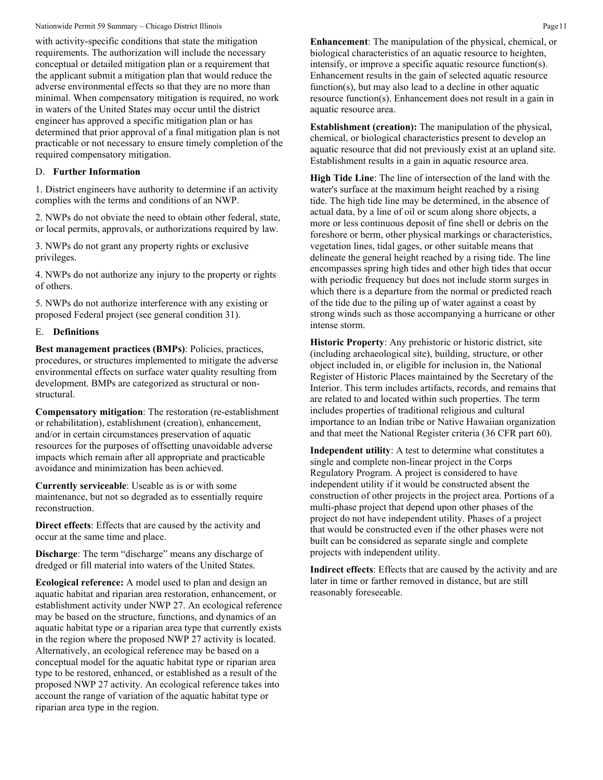with activity-specific conditions that state the mitigation requirements. The authorization will include the necessary conceptual or detailed mitigation plan or a requirement that the applicant submit a mitigation plan that would reduce the adverse environmental effects so that they are no more than minimal. When compensatory mitigation is required, no work in waters of the United States may occur until the district engineer has approved a specific mitigation plan or has determined that prior approval of a final mitigation plan is not practicable or not necessary to ensure timely completion of the required compensatory mitigation.

### D. **Further Information**

1. District engineers have authority to determine if an activity complies with the terms and conditions of an NWP.

2. NWPs do not obviate the need to obtain other federal, state, or local permits, approvals, or authorizations required by law.

3. NWPs do not grant any property rights or exclusive privileges.

4. NWPs do not authorize any injury to the property or rights of others.

5. NWPs do not authorize interference with any existing or proposed Federal project (see general condition 31).

### E. **Definitions**

**Best management practices (BMPs)**: Policies, practices, procedures, or structures implemented to mitigate the adverse environmental effects on surface water quality resulting from development. BMPs are categorized as structural or nonstructural.

**Compensatory mitigation**: The restoration (re-establishment or rehabilitation), establishment (creation), enhancement, and/or in certain circumstances preservation of aquatic resources for the purposes of offsetting unavoidable adverse impacts which remain after all appropriate and practicable avoidance and minimization has been achieved.

**Currently serviceable**: Useable as is or with some maintenance, but not so degraded as to essentially require reconstruction.

**Direct effects**: Effects that are caused by the activity and occur at the same time and place.

**Discharge**: The term "discharge" means any discharge of dredged or fill material into waters of the United States.

**Ecological reference:** A model used to plan and design an aquatic habitat and riparian area restoration, enhancement, or establishment activity under NWP 27. An ecological reference may be based on the structure, functions, and dynamics of an aquatic habitat type or a riparian area type that currently exists in the region where the proposed NWP 27 activity is located. Alternatively, an ecological reference may be based on a conceptual model for the aquatic habitat type or riparian area type to be restored, enhanced, or established as a result of the proposed NWP 27 activity. An ecological reference takes into account the range of variation of the aquatic habitat type or riparian area type in the region.

**Enhancement**: The manipulation of the physical, chemical, or biological characteristics of an aquatic resource to heighten, intensify, or improve a specific aquatic resource function(s). Enhancement results in the gain of selected aquatic resource function(s), but may also lead to a decline in other aquatic resource function(s). Enhancement does not result in a gain in aquatic resource area.

**Establishment (creation):** The manipulation of the physical, chemical, or biological characteristics present to develop an aquatic resource that did not previously exist at an upland site. Establishment results in a gain in aquatic resource area.

**High Tide Line**: The line of intersection of the land with the water's surface at the maximum height reached by a rising tide. The high tide line may be determined, in the absence of actual data, by a line of oil or scum along shore objects, a more or less continuous deposit of fine shell or debris on the foreshore or berm, other physical markings or characteristics, vegetation lines, tidal gages, or other suitable means that delineate the general height reached by a rising tide. The line encompasses spring high tides and other high tides that occur with periodic frequency but does not include storm surges in which there is a departure from the normal or predicted reach of the tide due to the piling up of water against a coast by strong winds such as those accompanying a hurricane or other intense storm.

**Historic Property**: Any prehistoric or historic district, site (including archaeological site), building, structure, or other object included in, or eligible for inclusion in, the National Register of Historic Places maintained by the Secretary of the Interior. This term includes artifacts, records, and remains that are related to and located within such properties. The term includes properties of traditional religious and cultural importance to an Indian tribe or Native Hawaiian organization and that meet the National Register criteria (36 CFR part 60).

**Independent utility**: A test to determine what constitutes a single and complete non-linear project in the Corps Regulatory Program. A project is considered to have independent utility if it would be constructed absent the construction of other projects in the project area. Portions of a multi-phase project that depend upon other phases of the project do not have independent utility. Phases of a project that would be constructed even if the other phases were not built can be considered as separate single and complete projects with independent utility.

**Indirect effects**: Effects that are caused by the activity and are later in time or farther removed in distance, but are still reasonably foreseeable.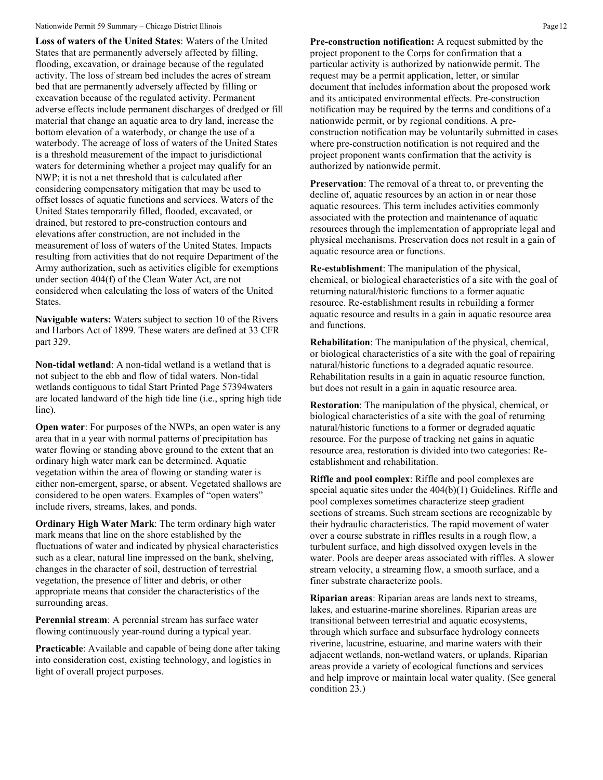**Loss of waters of the United States**: Waters of the United States that are permanently adversely affected by filling, flooding, excavation, or drainage because of the regulated activity. The loss of stream bed includes the acres of stream bed that are permanently adversely affected by filling or excavation because of the regulated activity. Permanent adverse effects include permanent discharges of dredged or fill material that change an aquatic area to dry land, increase the bottom elevation of a waterbody, or change the use of a waterbody. The acreage of loss of waters of the United States is a threshold measurement of the impact to jurisdictional waters for determining whether a project may qualify for an NWP; it is not a net threshold that is calculated after considering compensatory mitigation that may be used to offset losses of aquatic functions and services. Waters of the United States temporarily filled, flooded, excavated, or drained, but restored to pre-construction contours and elevations after construction, are not included in the measurement of loss of waters of the United States. Impacts resulting from activities that do not require Department of the Army authorization, such as activities eligible for exemptions under section 404(f) of the Clean Water Act, are not considered when calculating the loss of waters of the United States.

**Navigable waters:** Waters subject to section 10 of the Rivers and Harbors Act of 1899. These waters are defined at 33 CFR part 329.

**Non-tidal wetland**: A non-tidal wetland is a wetland that is not subject to the ebb and flow of tidal waters. Non-tidal wetlands contiguous to tidal Start Printed Page 57394waters are located landward of the high tide line (i.e., spring high tide line).

**Open water**: For purposes of the NWPs, an open water is any area that in a year with normal patterns of precipitation has water flowing or standing above ground to the extent that an ordinary high water mark can be determined. Aquatic vegetation within the area of flowing or standing water is either non-emergent, sparse, or absent. Vegetated shallows are considered to be open waters. Examples of "open waters" include rivers, streams, lakes, and ponds.

**Ordinary High Water Mark**: The term ordinary high water mark means that line on the shore established by the fluctuations of water and indicated by physical characteristics such as a clear, natural line impressed on the bank, shelving, changes in the character of soil, destruction of terrestrial vegetation, the presence of litter and debris, or other appropriate means that consider the characteristics of the surrounding areas.

**Perennial stream**: A perennial stream has surface water flowing continuously year-round during a typical year.

**Practicable**: Available and capable of being done after taking into consideration cost, existing technology, and logistics in light of overall project purposes.

**Pre-construction notification:** A request submitted by the project proponent to the Corps for confirmation that a particular activity is authorized by nationwide permit. The request may be a permit application, letter, or similar document that includes information about the proposed work and its anticipated environmental effects. Pre-construction notification may be required by the terms and conditions of a nationwide permit, or by regional conditions. A preconstruction notification may be voluntarily submitted in cases where pre-construction notification is not required and the project proponent wants confirmation that the activity is authorized by nationwide permit.

**Preservation**: The removal of a threat to, or preventing the decline of, aquatic resources by an action in or near those aquatic resources. This term includes activities commonly associated with the protection and maintenance of aquatic resources through the implementation of appropriate legal and physical mechanisms. Preservation does not result in a gain of aquatic resource area or functions.

**Re-establishment**: The manipulation of the physical, chemical, or biological characteristics of a site with the goal of returning natural/historic functions to a former aquatic resource. Re-establishment results in rebuilding a former aquatic resource and results in a gain in aquatic resource area and functions.

**Rehabilitation**: The manipulation of the physical, chemical, or biological characteristics of a site with the goal of repairing natural/historic functions to a degraded aquatic resource. Rehabilitation results in a gain in aquatic resource function, but does not result in a gain in aquatic resource area.

**Restoration**: The manipulation of the physical, chemical, or biological characteristics of a site with the goal of returning natural/historic functions to a former or degraded aquatic resource. For the purpose of tracking net gains in aquatic resource area, restoration is divided into two categories: Reestablishment and rehabilitation.

**Riffle and pool complex**: Riffle and pool complexes are special aquatic sites under the 404(b)(1) Guidelines. Riffle and pool complexes sometimes characterize steep gradient sections of streams. Such stream sections are recognizable by their hydraulic characteristics. The rapid movement of water over a course substrate in riffles results in a rough flow, a turbulent surface, and high dissolved oxygen levels in the water. Pools are deeper areas associated with riffles. A slower stream velocity, a streaming flow, a smooth surface, and a finer substrate characterize pools.

**Riparian areas**: Riparian areas are lands next to streams, lakes, and estuarine-marine shorelines. Riparian areas are transitional between terrestrial and aquatic ecosystems, through which surface and subsurface hydrology connects riverine, lacustrine, estuarine, and marine waters with their adjacent wetlands, non-wetland waters, or uplands. Riparian areas provide a variety of ecological functions and services and help improve or maintain local water quality. (See general condition 23.)